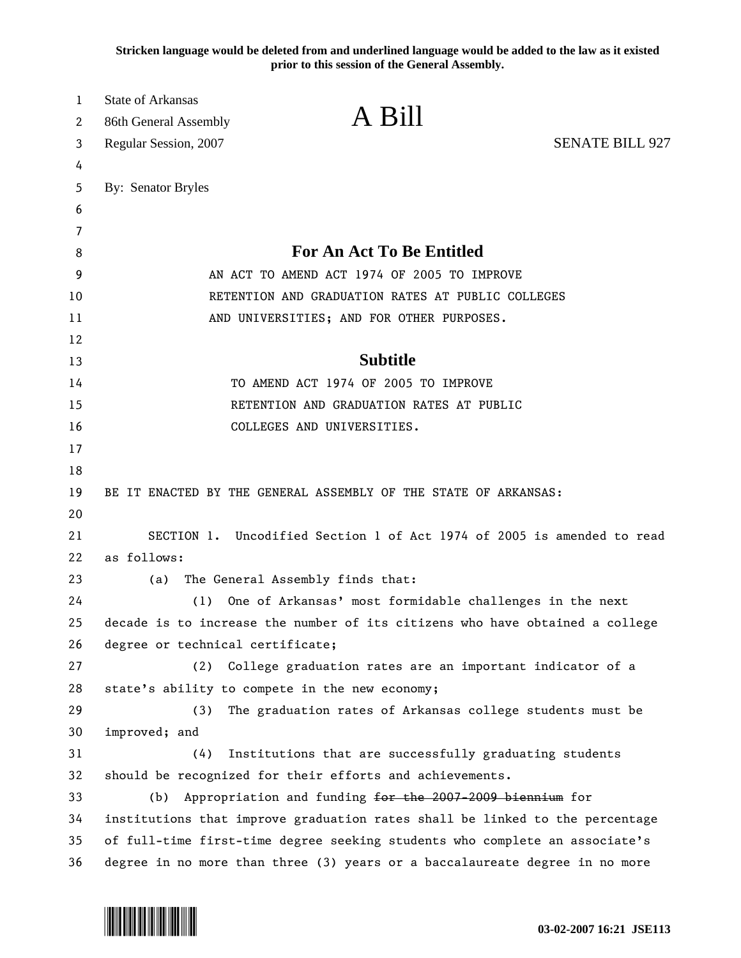**Stricken language would be deleted from and underlined language would be added to the law as it existed prior to this session of the General Assembly.**

| 1  | <b>State of Arkansas</b>                                                     |  |
|----|------------------------------------------------------------------------------|--|
| 2  | A Bill<br>86th General Assembly                                              |  |
| 3  | <b>SENATE BILL 927</b><br>Regular Session, 2007                              |  |
| 4  |                                                                              |  |
| 5  | By: Senator Bryles                                                           |  |
| 6  |                                                                              |  |
| 7  |                                                                              |  |
| 8  | <b>For An Act To Be Entitled</b>                                             |  |
| 9  | AN ACT TO AMEND ACT 1974 OF 2005 TO IMPROVE                                  |  |
| 10 | RETENTION AND GRADUATION RATES AT PUBLIC COLLEGES                            |  |
| 11 | AND UNIVERSITIES; AND FOR OTHER PURPOSES.                                    |  |
| 12 |                                                                              |  |
| 13 | <b>Subtitle</b>                                                              |  |
| 14 | TO AMEND ACT 1974 OF 2005 TO IMPROVE                                         |  |
| 15 | RETENTION AND GRADUATION RATES AT PUBLIC                                     |  |
| 16 | COLLEGES AND UNIVERSITIES.                                                   |  |
| 17 |                                                                              |  |
| 18 |                                                                              |  |
| 19 | BE IT ENACTED BY THE GENERAL ASSEMBLY OF THE STATE OF ARKANSAS:              |  |
| 20 |                                                                              |  |
| 21 | SECTION 1. Uncodified Section 1 of Act 1974 of 2005 is amended to read       |  |
| 22 | as follows:                                                                  |  |
| 23 | The General Assembly finds that:<br>(a)                                      |  |
| 24 | One of Arkansas' most formidable challenges in the next<br>(1)               |  |
| 25 | decade is to increase the number of its citizens who have obtained a college |  |
| 26 | degree or technical certificate;                                             |  |
| 27 | College graduation rates are an important indicator of a<br>(2)              |  |
| 28 | state's ability to compete in the new economy;                               |  |
| 29 | The graduation rates of Arkansas college students must be<br>(3)             |  |
| 30 | improved; and                                                                |  |
| 31 | (4)<br>Institutions that are successfully graduating students                |  |
| 32 | should be recognized for their efforts and achievements.                     |  |
| 33 | Appropriation and funding for the 2007-2009 biennium for<br>(b)              |  |
| 34 | institutions that improve graduation rates shall be linked to the percentage |  |
| 35 | of full-time first-time degree seeking students who complete an associate's  |  |
| 36 | degree in no more than three (3) years or a baccalaureate degree in no more  |  |

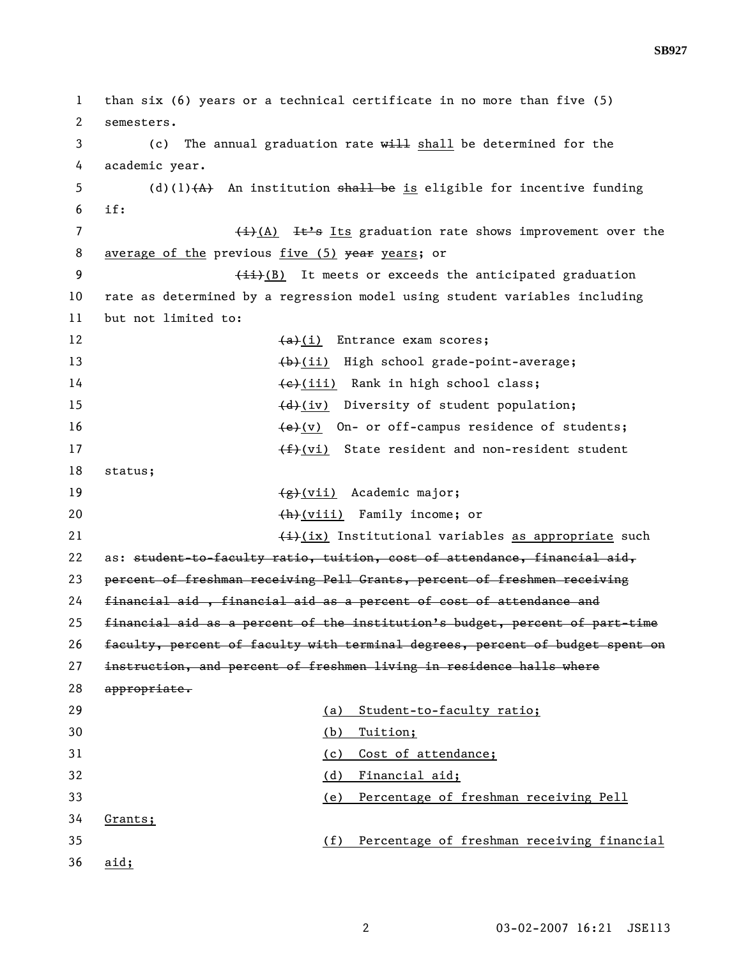1 than six (6) years or a technical certificate in no more than five (5) 2 semesters. 3 (c) The annual graduation rate will shall be determined for the 4 academic year. 5 (d)(1) $(A)$  An institution shall be is eligible for incentive funding 6 if: 7 (i)(A) It's Its graduation rate shows improvement over the 8 average of the previous five (5) year years; or 9 (ii)(B) It meets or exceeds the anticipated graduation 10 rate as determined by a regression model using student variables including 11 but not limited to: 12 (a)(i) Entrance exam scores; 13 (b)(ii) High school grade-point-average; 14 (e)(iii) Rank in high school class; 15 (d)(iv) Diversity of student population; 16  $\leftarrow$  (v) On- or off-campus residence of students; 17 (f)(vi) State resident and non-resident student 18 status; 19 (g)(vii) Academic major; 20 (h)(viii) Family income; or 21  $\leftarrow$   $\leftarrow$   $\leftarrow$   $\leftarrow$  ix) Institutional variables as appropriate such 22 as: student-to-faculty ratio, tuition, cost of attendance, financial aid, 23 percent of freshman receiving Pell Grants, percent of freshmen receiving 24 financial aid , financial aid as a percent of cost of attendance and 25 financial aid as a percent of the institution's budget, percent of part-time 26 faculty, percent of faculty with terminal degrees, percent of budget spent on 27 instruction, and percent of freshmen living in residence halls where 28 appropriate. 29 (a) Student-to-faculty ratio; 30 (b) Tuition; 31 (c) Cost of attendance; 32 (d) Financial aid; 33 (e) Percentage of freshman receiving Pell 34 Grants; 35 (f) Percentage of freshman receiving financial 36 aid;

**SB927**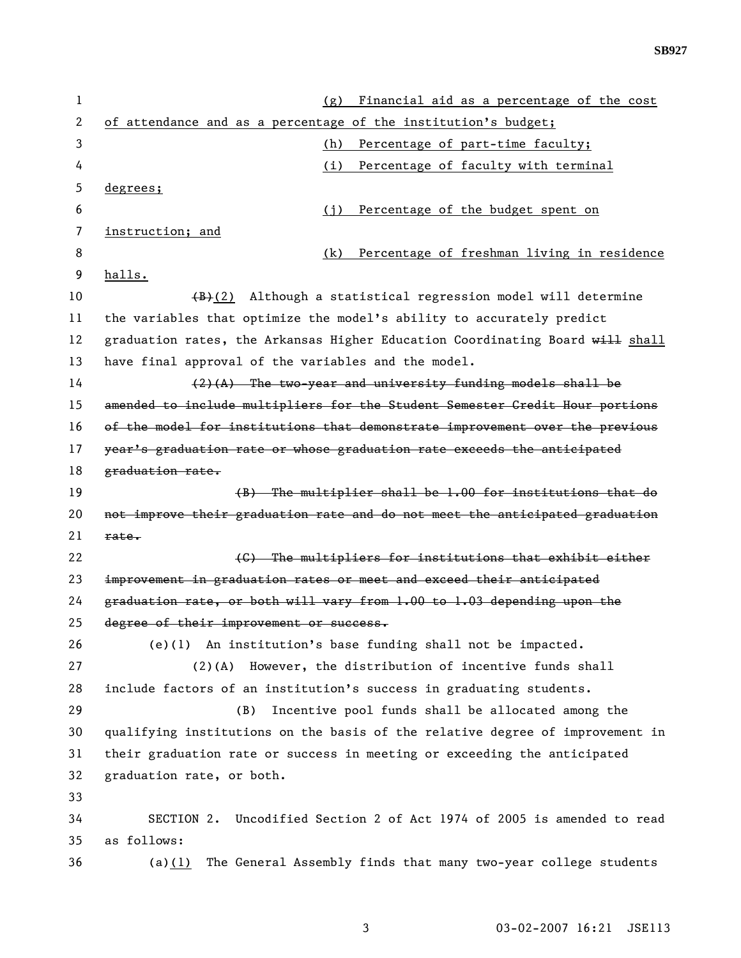| 1  | Financial aid as a percentage of the cost<br>(g)                                  |
|----|-----------------------------------------------------------------------------------|
| 2  | of attendance and as a percentage of the institution's budget;                    |
| 3  | Percentage of part-time faculty;<br>(h)                                           |
| 4  | Percentage of faculty with terminal<br>(i)                                        |
| 5  | degrees;                                                                          |
| 6  | Percentage of the budget spent on<br>(i)                                          |
| 7  | instruction; and                                                                  |
| 8  | Percentage of freshman living in residence<br>(k)                                 |
| 9  | halls.                                                                            |
| 10 | $\left(\frac{1}{2}\right)$ Although a statistical regression model will determine |
| 11 | the variables that optimize the model's ability to accurately predict             |
| 12 | graduation rates, the Arkansas Higher Education Coordinating Board will shall     |
| 13 | have final approval of the variables and the model.                               |
| 14 | $(2)(A)$ The two-year and university funding models shall be                      |
| 15 | amended to include multipliers for the Student Semester Credit Hour portions      |
| 16 | of the model for institutions that demonstrate improvement over the previous      |
| 17 | year's graduation rate or whose graduation rate exceeds the anticipated           |
| 18 | graduation rate.                                                                  |
| 19 | $(B)$ The multiplier shall be 1.00 for institutions that do                       |
| 20 | not improve their graduation rate and do not meet the anticipated graduation      |
| 21 | rate.                                                                             |
| 22 | (C) The multipliers for institutions that exhibit either                          |
| 23 | improvement in graduation rates or meet and exceed their anticipated              |
| 24 | graduation rate, or both will vary from 1.00 to 1.03 depending upon the           |
| 25 | degree of their improvement or success.                                           |
| 26 | $(e)(1)$ An institution's base funding shall not be impacted.                     |
| 27 | However, the distribution of incentive funds shall<br>$(2)$ (A)                   |
| 28 | include factors of an institution's success in graduating students.               |
| 29 | Incentive pool funds shall be allocated among the<br>(B)                          |
| 30 | qualifying institutions on the basis of the relative degree of improvement in     |
| 31 | their graduation rate or success in meeting or exceeding the anticipated          |
| 32 | graduation rate, or both.                                                         |
| 33 |                                                                                   |
| 34 | SECTION 2.<br>Uncodified Section 2 of Act 1974 of 2005 is amended to read         |
| 35 | as follows:                                                                       |
| 36 | The General Assembly finds that many two-year college students<br>(a) $(1)$       |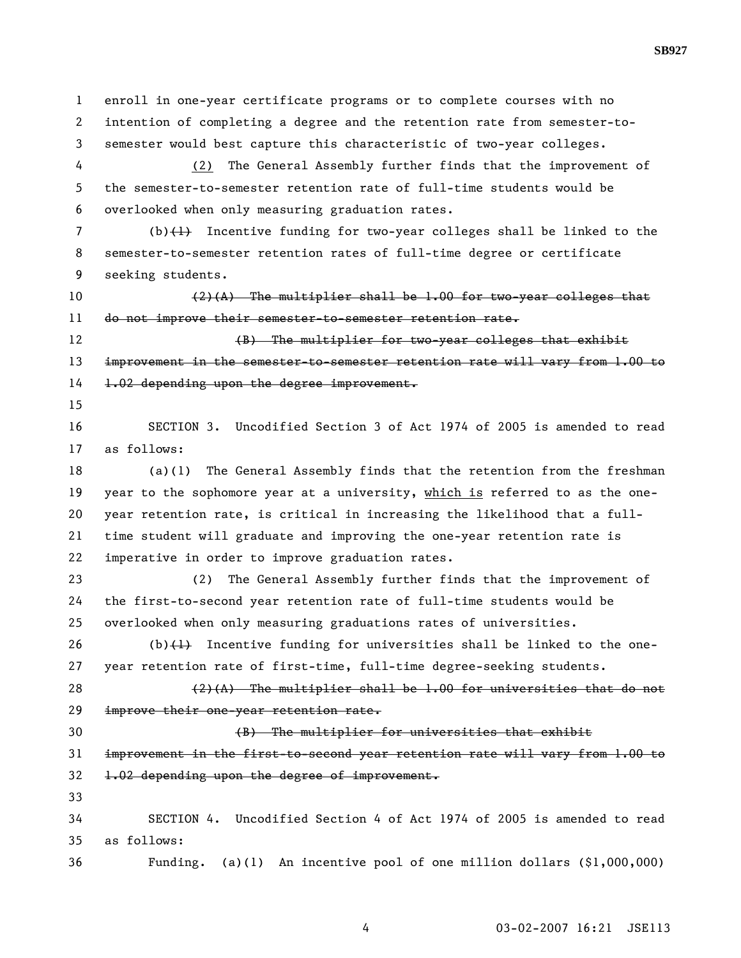1 enroll in one-year certificate programs or to complete courses with no 2 intention of completing a degree and the retention rate from semester-to-3 semester would best capture this characteristic of two-year colleges. 4 (2) The General Assembly further finds that the improvement of 5 the semester-to-semester retention rate of full-time students would be 6 overlooked when only measuring graduation rates. 7 (b)(1) Incentive funding for two-year colleges shall be linked to the 8 semester-to-semester retention rates of full-time degree or certificate 9 seeking students. 10  $(2)(A)$  The multiplier shall be 1.00 for two-year colleges that 11 do not improve their semester-to-semester retention rate. 12 (B) The multiplier for two-year colleges that exhibit 13 improvement in the semester-to-semester retention rate will vary from 1.00 to 14 1.02 depending upon the degree improvement. 15 16 SECTION 3. Uncodified Section 3 of Act 1974 of 2005 is amended to read 17 as follows: 18 (a)(1) The General Assembly finds that the retention from the freshman 19 year to the sophomore year at a university, which is referred to as the one-20 year retention rate, is critical in increasing the likelihood that a full-21 time student will graduate and improving the one-year retention rate is 22 imperative in order to improve graduation rates. 23 (2) The General Assembly further finds that the improvement of 24 the first-to-second year retention rate of full-time students would be 25 overlooked when only measuring graduations rates of universities. 26 (b) $(1)$  Incentive funding for universities shall be linked to the one-27 year retention rate of first-time, full-time degree-seeking students. 28  $(2)(A)$  The multiplier shall be 1.00 for universities that do not 29 improve their one-year retention rate. 30 (B) The multiplier for universities that exhibit 31 improvement in the first-to-second year retention rate will vary from 1.00 to 32 1.02 depending upon the degree of improvement. 33 34 SECTION 4. Uncodified Section 4 of Act 1974 of 2005 is amended to read 35 as follows: 36 Funding. (a)(1) An incentive pool of one million dollars (\$1,000,000)

4 03-02-2007 16:21 JSE113

**SB927**